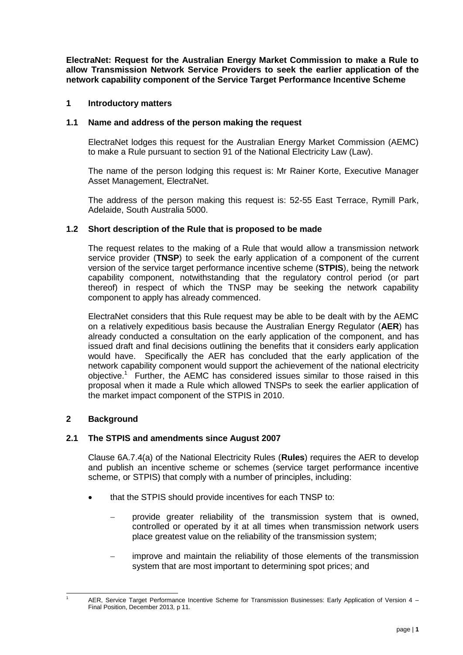**ElectraNet: Request for the Australian Energy Market Commission to make a Rule to allow Transmission Network Service Providers to seek the earlier application of the network capability component of the Service Target Performance Incentive Scheme**

## **1 Introductory matters**

### **1.1 Name and address of the person making the request**

ElectraNet lodges this request for the Australian Energy Market Commission (AEMC) to make a Rule pursuant to section 91 of the National Electricity Law (Law).

The name of the person lodging this request is: Mr Rainer Korte, Executive Manager Asset Management, ElectraNet.

The address of the person making this request is: 52-55 East Terrace, Rymill Park, Adelaide, South Australia 5000.

### **1.2 Short description of the Rule that is proposed to be made**

The request relates to the making of a Rule that would allow a transmission network service provider (**TNSP**) to seek the early application of a component of the current version of the service target performance incentive scheme (**STPIS**), being the network capability component, notwithstanding that the regulatory control period (or part thereof) in respect of which the TNSP may be seeking the network capability component to apply has already commenced.

ElectraNet considers that this Rule request may be able to be dealt with by the AEMC on a relatively expeditious basis because the Australian Energy Regulator (**AER**) has already conducted a consultation on the early application of the component, and has issued draft and final decisions outlining the benefits that it considers early application would have. Specifically the AER has concluded that the early application of the network capability component would support the achievement of the national electricity objective.<sup>1</sup> Further, the AEMC has considered issues similar to those raised in this proposal when it made a Rule which allowed TNSPs to seek the earlier application of the market impact component of the STPIS in 2010.

## **2 Background**

1

## **2.1 The STPIS and amendments since August 2007**

Clause 6A.7.4(a) of the National Electricity Rules (**Rules**) requires the AER to develop and publish an incentive scheme or schemes (service target performance incentive scheme, or STPIS) that comply with a number of principles, including:

- that the STPIS should provide incentives for each TNSP to:
	- provide greater reliability of the transmission system that is owned, controlled or operated by it at all times when transmission network users place greatest value on the reliability of the transmission system;
	- improve and maintain the reliability of those elements of the transmission system that are most important to determining spot prices; and

AER, Service Target Performance Incentive Scheme for Transmission Businesses: Early Application of Version 4 -Final Position, December 2013, p 11.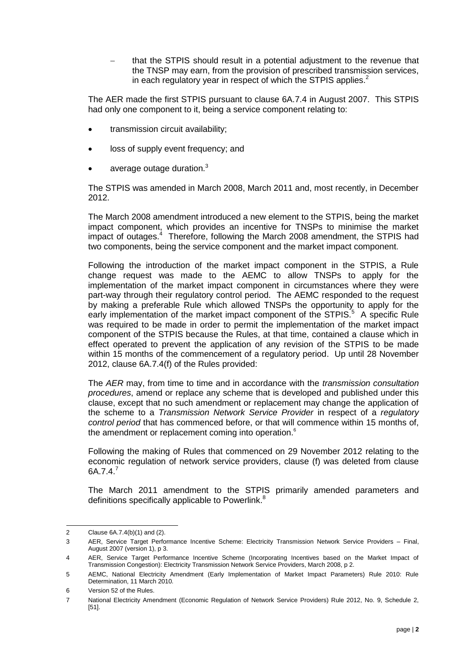that the STPIS should result in a potential adjustment to the revenue that the TNSP may earn, from the provision of prescribed transmission services, in each regulatory year in respect of which the STPIS applies.<sup>2</sup>

The AER made the first STPIS pursuant to clause 6A.7.4 in August 2007. This STPIS had only one component to it, being a service component relating to:

- transmission circuit availability;
- loss of supply event frequency; and
- average outage duration.<sup>3</sup>

The STPIS was amended in March 2008, March 2011 and, most recently, in December 2012.

The March 2008 amendment introduced a new element to the STPIS, being the market impact component, which provides an incentive for TNSPs to minimise the market impact of outages.<sup>4</sup> Therefore, following the March 2008 amendment, the STPIS had two components, being the service component and the market impact component.

Following the introduction of the market impact component in the STPIS, a Rule change request was made to the AEMC to allow TNSPs to apply for the implementation of the market impact component in circumstances where they were part-way through their regulatory control period. The AEMC responded to the request by making a preferable Rule which allowed TNSPs the opportunity to apply for the early implementation of the market impact component of the STPIS.<sup>5</sup> A specific Rule was required to be made in order to permit the implementation of the market impact component of the STPIS because the Rules, at that time, contained a clause which in effect operated to prevent the application of any revision of the STPIS to be made within 15 months of the commencement of a regulatory period. Up until 28 November 2012, clause 6A.7.4(f) of the Rules provided:

The *AER* may, from time to time and in accordance with the *transmission consultation procedures*, amend or replace any scheme that is developed and published under this clause, except that no such amendment or replacement may change the application of the scheme to a *Transmission Network Service Provider* in respect of a *regulatory control period* that has commenced before, or that will commence within 15 months of, the amendment or replacement coming into operation.<sup>6</sup>

Following the making of Rules that commenced on 29 November 2012 relating to the economic regulation of network service providers, clause (f) was deleted from clause 6A.7.4.<sup>7</sup>

The March 2011 amendment to the STPIS primarily amended parameters and definitions specifically applicable to Powerlink.<sup>8</sup>

 $\mathcal{L}$ Clause  $6A.7.4(b)(1)$  and  $(2)$ .

<sup>3</sup> AER, Service Target Performance Incentive Scheme: Electricity Transmission Network Service Providers – Final, August 2007 (version 1), p 3.

<sup>4</sup> AER, Service Target Performance Incentive Scheme (Incorporating Incentives based on the Market Impact of Transmission Congestion): Electricity Transmission Network Service Providers, March 2008, p 2.

<sup>5</sup> AEMC, National Electricity Amendment (Early Implementation of Market Impact Parameters) Rule 2010: Rule Determination, 11 March 2010.

<sup>6</sup> Version 52 of the Rules.

<sup>7</sup> National Electricity Amendment (Economic Regulation of Network Service Providers) Rule 2012, No. 9, Schedule 2, [51].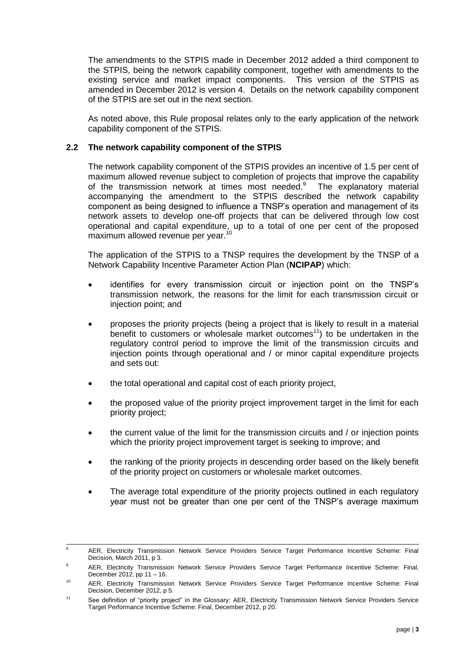The amendments to the STPIS made in December 2012 added a third component to the STPIS, being the network capability component, together with amendments to the existing service and market impact components. This version of the STPIS as amended in December 2012 is version 4. Details on the network capability component of the STPIS are set out in the next section.

As noted above, this Rule proposal relates only to the early application of the network capability component of the STPIS.

## **2.2 The network capability component of the STPIS**

The network capability component of the STPIS provides an incentive of 1.5 per cent of maximum allowed revenue subject to completion of projects that improve the capability of the transmission network at times most needed.<sup>9</sup> The explanatory material accompanying the amendment to the STPIS described the network capability component as being designed to influence a TNSP's operation and management of its network assets to develop one-off projects that can be delivered through low cost operational and capital expenditure, up to a total of one per cent of the proposed maximum allowed revenue per year.<sup>10</sup>

The application of the STPIS to a TNSP requires the development by the TNSP of a Network Capability Incentive Parameter Action Plan (**NCIPAP**) which:

- identifies for every transmission circuit or injection point on the TNSP's transmission network, the reasons for the limit for each transmission circuit or injection point; and
- proposes the priority projects (being a project that is likely to result in a material benefit to customers or wholesale market outcomes<sup>11</sup>) to be undertaken in the regulatory control period to improve the limit of the transmission circuits and injection points through operational and / or minor capital expenditure projects and sets out:
- the total operational and capital cost of each priority project,
- the proposed value of the priority project improvement target in the limit for each priority project;
- the current value of the limit for the transmission circuits and / or injection points which the priority project improvement target is seeking to improve; and
- the ranking of the priority projects in descending order based on the likely benefit of the priority project on customers or wholesale market outcomes.
- The average total expenditure of the priority projects outlined in each regulatory year must not be greater than one per cent of the TNSP's average maximum

 $\overline{a}$ <sup>8</sup> AER, Electricity Transmission Network Service Providers Service Target Performance Incentive Scheme: Final Decision, March 2011, p 3.

<sup>9</sup> AER, Electricity Transmission Network Service Providers Service Target Performance Incentive Scheme: Final, December 2012, pp 11 – 16.

<sup>10</sup> AER, Electricity Transmission Network Service Providers Service Target Performance Incentive Scheme: Final Decision, December 2012, p 5.

<sup>&</sup>lt;sup>11</sup> See definition of "priority project" in the Glossary: AER, Electricity Transmission Network Service Providers Service Target Performance Incentive Scheme: Final, December 2012, p 20.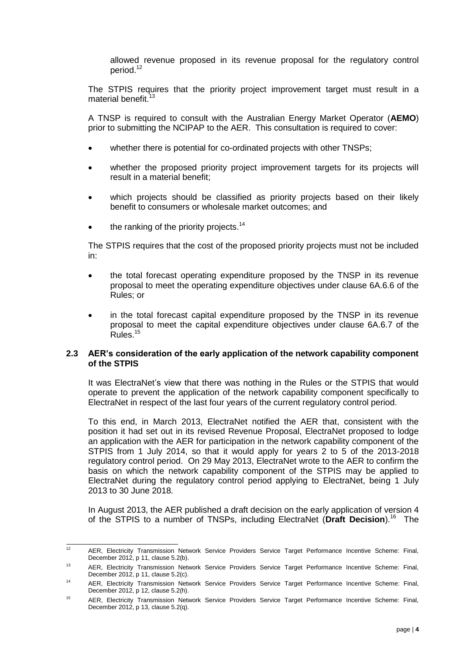allowed revenue proposed in its revenue proposal for the regulatory control period.<sup>12</sup>

The STPIS requires that the priority project improvement target must result in a material benefit.<sup>13</sup>

A TNSP is required to consult with the Australian Energy Market Operator (**AEMO**) prior to submitting the NCIPAP to the AER. This consultation is required to cover:

- whether there is potential for co-ordinated projects with other TNSPs;
- whether the proposed priority project improvement targets for its projects will result in a material benefit;
- which projects should be classified as priority projects based on their likely benefit to consumers or wholesale market outcomes; and
- the ranking of the priority projects.<sup>14</sup>

The STPIS requires that the cost of the proposed priority projects must not be included in:

- the total forecast operating expenditure proposed by the TNSP in its revenue proposal to meet the operating expenditure objectives under clause 6A.6.6 of the Rules; or
- in the total forecast capital expenditure proposed by the TNSP in its revenue proposal to meet the capital expenditure objectives under clause 6A.6.7 of the Rules.<sup>15</sup>

#### **2.3 AER's consideration of the early application of the network capability component of the STPIS**

It was ElectraNet's view that there was nothing in the Rules or the STPIS that would operate to prevent the application of the network capability component specifically to ElectraNet in respect of the last four years of the current regulatory control period.

To this end, in March 2013, ElectraNet notified the AER that, consistent with the position it had set out in its revised Revenue Proposal, ElectraNet proposed to lodge an application with the AER for participation in the network capability component of the STPIS from 1 July 2014, so that it would apply for years 2 to 5 of the 2013-2018 regulatory control period. On 29 May 2013, ElectraNet wrote to the AER to confirm the basis on which the network capability component of the STPIS may be applied to ElectraNet during the regulatory control period applying to ElectraNet, being 1 July 2013 to 30 June 2018.

In August 2013, the AER published a draft decision on the early application of version 4 of the STPIS to a number of TNSPs, including ElectraNet (Draft Decision).<sup>16</sup> The

 $\overline{12}$ <sup>12</sup> AER, Electricity Transmission Network Service Providers Service Target Performance Incentive Scheme: Final, December 2012, p 11, clause 5.2(b).

<sup>&</sup>lt;sup>13</sup> AER, Electricity Transmission Network Service Providers Service Target Performance Incentive Scheme: Final, December 2012, p 11, clause 5.2(c).

<sup>14</sup> AER, Electricity Transmission Network Service Providers Service Target Performance Incentive Scheme: Final, December 2012, p 12, clause 5.2(h).

<sup>15</sup> AER, Electricity Transmission Network Service Providers Service Target Performance Incentive Scheme: Final, December 2012, p 13, clause 5.2(q).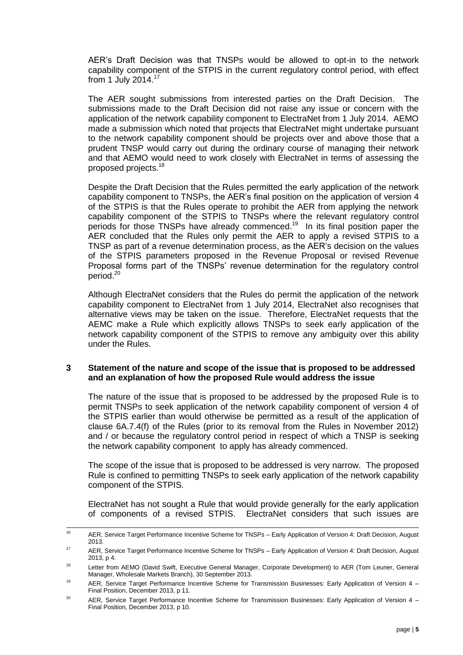AER's Draft Decision was that TNSPs would be allowed to opt-in to the network capability component of the STPIS in the current regulatory control period, with effect from 1 July 2014.<sup>17</sup>

The AER sought submissions from interested parties on the Draft Decision. The submissions made to the Draft Decision did not raise any issue or concern with the application of the network capability component to ElectraNet from 1 July 2014. AEMO made a submission which noted that projects that ElectraNet might undertake pursuant to the network capability component should be projects over and above those that a prudent TNSP would carry out during the ordinary course of managing their network and that AEMO would need to work closely with ElectraNet in terms of assessing the proposed projects.<sup>18</sup>

Despite the Draft Decision that the Rules permitted the early application of the network capability component to TNSPs, the AER's final position on the application of version 4 of the STPIS is that the Rules operate to prohibit the AER from applying the network capability component of the STPIS to TNSPs where the relevant regulatory control periods for those TNSPs have already commenced.<sup>19</sup> In its final position paper the AER concluded that the Rules only permit the AER to apply a revised STPIS to a TNSP as part of a revenue determination process, as the AER's decision on the values of the STPIS parameters proposed in the Revenue Proposal or revised Revenue Proposal forms part of the TNSPs' revenue determination for the regulatory control period. 20

Although ElectraNet considers that the Rules do permit the application of the network capability component to ElectraNet from 1 July 2014, ElectraNet also recognises that alternative views may be taken on the issue. Therefore, ElectraNet requests that the AEMC make a Rule which explicitly allows TNSPs to seek early application of the network capability component of the STPIS to remove any ambiguity over this ability under the Rules.

### **3 Statement of the nature and scope of the issue that is proposed to be addressed and an explanation of how the proposed Rule would address the issue**

The nature of the issue that is proposed to be addressed by the proposed Rule is to permit TNSPs to seek application of the network capability component of version 4 of the STPIS earlier than would otherwise be permitted as a result of the application of clause 6A.7.4(f) of the Rules (prior to its removal from the Rules in November 2012) and / or because the regulatory control period in respect of which a TNSP is seeking the network capability component to apply has already commenced.

The scope of the issue that is proposed to be addressed is very narrow. The proposed Rule is confined to permitting TNSPs to seek early application of the network capability component of the STPIS.

ElectraNet has not sought a Rule that would provide generally for the early application of components of a revised STPIS. ElectraNet considers that such issues are

 $16$ <sup>16</sup> AER, Service Target Performance Incentive Scheme for TNSPs – Early Application of Version 4: Draft Decision, August 2013.

<sup>&</sup>lt;sup>17</sup> AER, Service Target Performance Incentive Scheme for TNSPs – Early Application of Version 4: Draft Decision, August 2013, p 4.

<sup>&</sup>lt;sup>18</sup> Letter from AEMO (David Swift, Executive General Manager, Corporate Development) to AER (Tom Leuner, General Manager, Wholesale Markets Branch), 30 September 2013.

<sup>&</sup>lt;sup>19</sup> AER, Service Target Performance Incentive Scheme for Transmission Businesses: Early Application of Version 4 – Final Position, December 2013, p 11.

<sup>&</sup>lt;sup>20</sup> AER, Service Target Performance Incentive Scheme for Transmission Businesses: Early Application of Version 4 – Final Position, December 2013, p 10.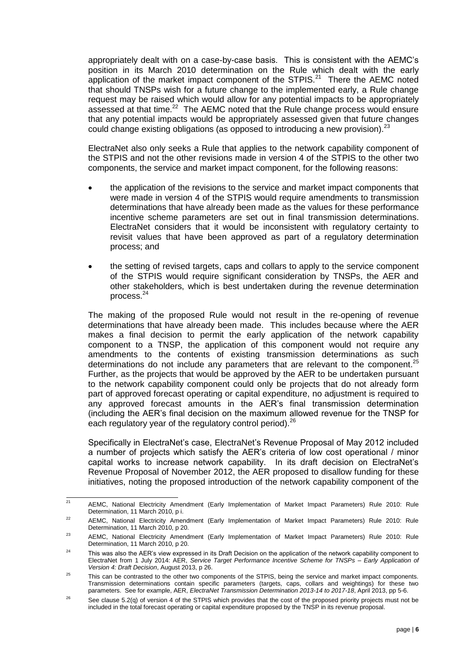appropriately dealt with on a case-by-case basis. This is consistent with the AEMC's position in its March 2010 determination on the Rule which dealt with the early application of the market impact component of the STPIS. $21$  There the AEMC noted that should TNSPs wish for a future change to the implemented early, a Rule change request may be raised which would allow for any potential impacts to be appropriately assessed at that time. $^{22}$  The AEMC noted that the Rule change process would ensure that any potential impacts would be appropriately assessed given that future changes could change existing obligations (as opposed to introducing a new provision).  $2^3$ 

ElectraNet also only seeks a Rule that applies to the network capability component of the STPIS and not the other revisions made in version 4 of the STPIS to the other two components, the service and market impact component, for the following reasons:

- the application of the revisions to the service and market impact components that were made in version 4 of the STPIS would require amendments to transmission determinations that have already been made as the values for these performance incentive scheme parameters are set out in final transmission determinations. ElectraNet considers that it would be inconsistent with regulatory certainty to revisit values that have been approved as part of a regulatory determination process; and
- the setting of revised targets, caps and collars to apply to the service component of the STPIS would require significant consideration by TNSPs, the AER and other stakeholders, which is best undertaken during the revenue determination process. 24

The making of the proposed Rule would not result in the re-opening of revenue determinations that have already been made. This includes because where the AER makes a final decision to permit the early application of the network capability component to a TNSP, the application of this component would not require any amendments to the contents of existing transmission determinations as such determinations do not include any parameters that are relevant to the component. $25$ Further, as the projects that would be approved by the AER to be undertaken pursuant to the network capability component could only be projects that do not already form part of approved forecast operating or capital expenditure, no adjustment is required to any approved forecast amounts in the AER's final transmission determination (including the AER's final decision on the maximum allowed revenue for the TNSP for each regulatory year of the regulatory control period).<sup>26</sup>

Specifically in ElectraNet's case, ElectraNet's Revenue Proposal of May 2012 included a number of projects which satisfy the AER's criteria of low cost operational / minor capital works to increase network capability. In its draft decision on ElectraNet's Revenue Proposal of November 2012, the AER proposed to disallow funding for these initiatives, noting the proposed introduction of the network capability component of the

 $21$ AEMC, National Electricity Amendment (Early Implementation of Market Impact Parameters) Rule 2010: Rule Determination, 11 March 2010, p i.

<sup>&</sup>lt;sup>22</sup> AEMC, National Electricity Amendment (Early Implementation of Market Impact Parameters) Rule 2010: Rule Determination, 11 March 2010, p 20.

<sup>&</sup>lt;sup>23</sup> AEMC, National Electricity Amendment (Early Implementation of Market Impact Parameters) Rule 2010: Rule Determination, 11 March 2010, p 20.

<sup>&</sup>lt;sup>24</sup> This was also the AER's view expressed in its Draft Decision on the application of the network capability component to ElectraNet from 1 July 2014: AER, *Service Target Performance Incentive Scheme for TNSPs – Early Application of Version 4: Draft Decision*, August 2013, p 26.

<sup>&</sup>lt;sup>25</sup> This can be contrasted to the other two components of the STPIS, being the service and market impact components. Transmission determinations contain specific parameters (targets, caps, collars and weightings) for these two parameters. See for example, AER, *ElectraNet Transmission Determination 2013-14 to 2017-18*, April 2013, pp 5-6.

<sup>&</sup>lt;sup>26</sup> See clause 5.2(q) of version 4 of the STPIS which provides that the cost of the proposed priority projects must not be included in the total forecast operating or capital expenditure proposed by the TNSP in its revenue proposal.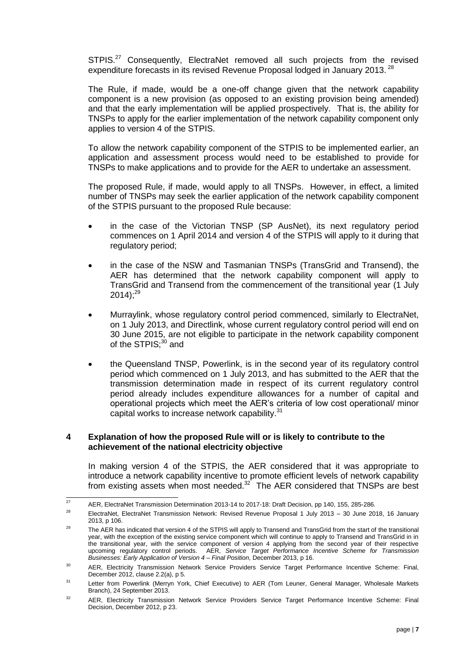STPIS.<sup>27</sup> Consequently, ElectraNet removed all such projects from the revised expenditure forecasts in its revised Revenue Proposal lodged in January 2013.<sup>28</sup>

The Rule, if made, would be a one-off change given that the network capability component is a new provision (as opposed to an existing provision being amended) and that the early implementation will be applied prospectively. That is, the ability for TNSPs to apply for the earlier implementation of the network capability component only applies to version 4 of the STPIS.

To allow the network capability component of the STPIS to be implemented earlier, an application and assessment process would need to be established to provide for TNSPs to make applications and to provide for the AER to undertake an assessment.

The proposed Rule, if made, would apply to all TNSPs. However, in effect, a limited number of TNSPs may seek the earlier application of the network capability component of the STPIS pursuant to the proposed Rule because:

- in the case of the Victorian TNSP (SP AusNet), its next regulatory period commences on 1 April 2014 and version 4 of the STPIS will apply to it during that regulatory period;
- in the case of the NSW and Tasmanian TNSPs (TransGrid and Transend), the AER has determined that the network capability component will apply to TransGrid and Transend from the commencement of the transitional year (1 July  $2014$ );<sup>29</sup>
- Murraylink, whose regulatory control period commenced, similarly to ElectraNet, on 1 July 2013, and Directlink, whose current regulatory control period will end on 30 June 2015, are not eligible to participate in the network capability component of the STPIS:<sup>30</sup> and
- the Queensland TNSP, Powerlink, is in the second year of its regulatory control period which commenced on 1 July 2013, and has submitted to the AER that the transmission determination made in respect of its current regulatory control period already includes expenditure allowances for a number of capital and operational projects which meet the AER's criteria of low cost operational/ minor capital works to increase network capability.<sup>31</sup>

### **4 Explanation of how the proposed Rule will or is likely to contribute to the achievement of the national electricity objective**

In making version 4 of the STPIS, the AER considered that it was appropriate to introduce a network capability incentive to promote efficient levels of network capability from existing assets when most needed. $32$  The AER considered that TNSPs are best

 $27$ <sup>27</sup> AER, ElectraNet Transmission Determination 2013-14 to 2017-18: Draft Decision, pp 140, 155, 285-286.

<sup>&</sup>lt;sup>28</sup> ElectraNet, ElectraNet Transmission Network: Revised Revenue Proposal 1 July 2013 – 30 June 2018, 16 January 2013, p 106.

<sup>&</sup>lt;sup>29</sup> The AER has indicated that version 4 of the STPIS will apply to Transend and TransGrid from the start of the transitional year, with the exception of the existing service component which will continue to apply to Transend and TransGrid in in the transitional year, with the service component of version 4 applying from the second year of their respective upcoming regulatory control periods. AER, *Service Target Performance Incentive Scheme for Transmission Businesses: Early Application of Version 4 – Final Position*, December 2013, p 16.

<sup>&</sup>lt;sup>30</sup> AER, Electricity Transmission Network Service Providers Service Target Performance Incentive Scheme: Final, December 2012, clause 2.2(a), p 5.

<sup>&</sup>lt;sup>31</sup> Letter from Powerlink (Merryn York, Chief Executive) to AER (Tom Leuner, General Manager, Wholesale Markets Branch), 24 September 2013.

<sup>&</sup>lt;sup>32</sup> AER, Electricity Transmission Network Service Providers Service Target Performance Incentive Scheme: Final Decision, December 2012, p 23.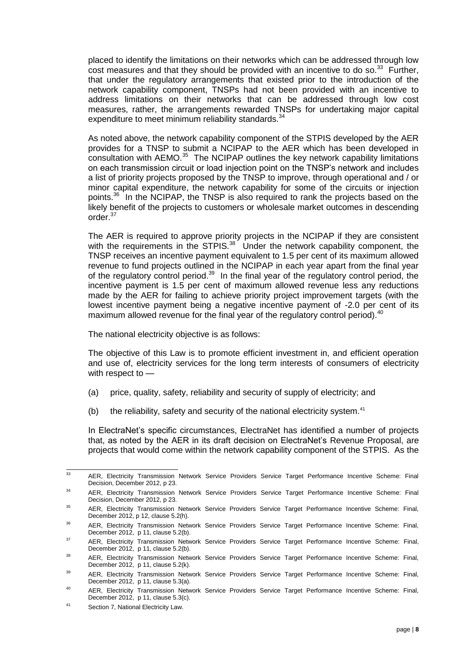placed to identify the limitations on their networks which can be addressed through low  $\cos t$  measures and that they should be provided with an incentive to do so.<sup>33</sup> Further, that under the regulatory arrangements that existed prior to the introduction of the network capability component, TNSPs had not been provided with an incentive to address limitations on their networks that can be addressed through low cost measures, rather, the arrangements rewarded TNSPs for undertaking major capital expenditure to meet minimum reliability standards.<sup>34</sup>

As noted above, the network capability component of the STPIS developed by the AER provides for a TNSP to submit a NCIPAP to the AER which has been developed in  $\overline{a}$  consultation with AEMO.<sup>35</sup> The NCIPAP outlines the key network capability limitations on each transmission circuit or load injection point on the TNSP's network and includes a list of priority projects proposed by the TNSP to improve, through operational and / or minor capital expenditure, the network capability for some of the circuits or injection points.<sup>36</sup> In the NCIPAP, the TNSP is also required to rank the projects based on the likely benefit of the projects to customers or wholesale market outcomes in descending order.<sup>37</sup>

The AER is required to approve priority projects in the NCIPAP if they are consistent with the requirements in the STPIS. $38$  Under the network capability component, the TNSP receives an incentive payment equivalent to 1.5 per cent of its maximum allowed revenue to fund projects outlined in the NCIPAP in each year apart from the final year of the regulatory control period.<sup>39</sup> In the final year of the regulatory control period, the incentive payment is 1.5 per cent of maximum allowed revenue less any reductions made by the AER for failing to achieve priority project improvement targets (with the lowest incentive payment being a negative incentive payment of -2.0 per cent of its maximum allowed revenue for the final year of the regulatory control period).<sup>40</sup>

The national electricity objective is as follows:

The objective of this Law is to promote efficient investment in, and efficient operation and use of, electricity services for the long term interests of consumers of electricity with respect to —

- (a) price, quality, safety, reliability and security of supply of electricity; and
- (b) the reliability, safety and security of the national electricity system. $41$

In ElectraNet's specific circumstances, ElectraNet has identified a number of projects that, as noted by the AER in its draft decision on ElectraNet's Revenue Proposal, are projects that would come within the network capability component of the STPIS. As the

<sup>33</sup> <sup>33</sup> AER, Electricity Transmission Network Service Providers Service Target Performance Incentive Scheme: Final Decision, December 2012, p 23.

<sup>34</sup> AER, Electricity Transmission Network Service Providers Service Target Performance Incentive Scheme: Final Decision, December 2012, p 23.

<sup>&</sup>lt;sup>35</sup> AER, Electricity Transmission Network Service Providers Service Target Performance Incentive Scheme: Final, December 2012, p 12, clause 5.2(h).

<sup>&</sup>lt;sup>36</sup> AER, Electricity Transmission Network Service Providers Service Target Performance Incentive Scheme: Final, December 2012, p 11, clause 5.2(b).

<sup>&</sup>lt;sup>37</sup> AER, Electricity Transmission Network Service Providers Service Target Performance Incentive Scheme: Final, December 2012, p 11, clause 5.2(b).

<sup>&</sup>lt;sup>38</sup> AER, Electricity Transmission Network Service Providers Service Target Performance Incentive Scheme: Final, December 2012, p 11, clause 5.2(k).

<sup>39</sup> AER, Electricity Transmission Network Service Providers Service Target Performance Incentive Scheme: Final, December 2012, p 11, clause 5.3(a).

<sup>40</sup> AER, Electricity Transmission Network Service Providers Service Target Performance Incentive Scheme: Final, December 2012, p 11, clause 5.3(c).

<sup>41</sup> Section 7, National Electricity Law.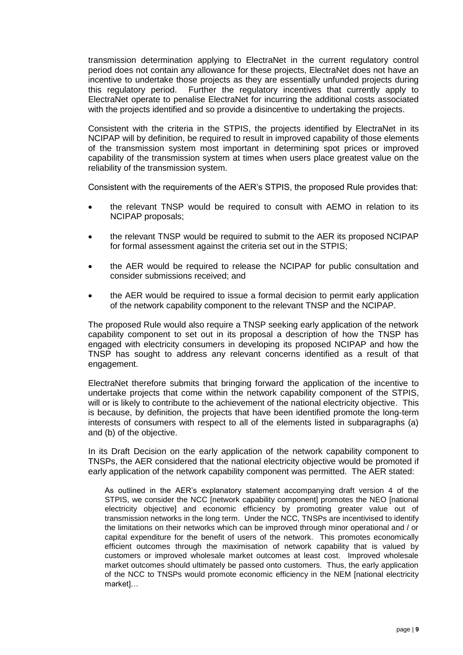transmission determination applying to ElectraNet in the current regulatory control period does not contain any allowance for these projects, ElectraNet does not have an incentive to undertake those projects as they are essentially unfunded projects during this regulatory period. Further the regulatory incentives that currently apply to ElectraNet operate to penalise ElectraNet for incurring the additional costs associated with the projects identified and so provide a disincentive to undertaking the projects.

Consistent with the criteria in the STPIS, the projects identified by ElectraNet in its NCIPAP will by definition, be required to result in improved capability of those elements of the transmission system most important in determining spot prices or improved capability of the transmission system at times when users place greatest value on the reliability of the transmission system.

Consistent with the requirements of the AER's STPIS, the proposed Rule provides that:

- the relevant TNSP would be required to consult with AEMO in relation to its NCIPAP proposals;
- the relevant TNSP would be required to submit to the AER its proposed NCIPAP for formal assessment against the criteria set out in the STPIS;
- the AER would be required to release the NCIPAP for public consultation and consider submissions received; and
- the AER would be required to issue a formal decision to permit early application of the network capability component to the relevant TNSP and the NCIPAP.

The proposed Rule would also require a TNSP seeking early application of the network capability component to set out in its proposal a description of how the TNSP has engaged with electricity consumers in developing its proposed NCIPAP and how the TNSP has sought to address any relevant concerns identified as a result of that engagement.

ElectraNet therefore submits that bringing forward the application of the incentive to undertake projects that come within the network capability component of the STPIS, will or is likely to contribute to the achievement of the national electricity objective. This is because, by definition, the projects that have been identified promote the long-term interests of consumers with respect to all of the elements listed in subparagraphs (a) and (b) of the objective.

In its Draft Decision on the early application of the network capability component to TNSPs, the AER considered that the national electricity objective would be promoted if early application of the network capability component was permitted. The AER stated:

As outlined in the AER's explanatory statement accompanying draft version 4 of the STPIS, we consider the NCC Inetwork capability componentl promotes the NEO Inational electricity objective] and economic efficiency by promoting greater value out of transmission networks in the long term. Under the NCC, TNSPs are incentivised to identify the limitations on their networks which can be improved through minor operational and / or capital expenditure for the benefit of users of the network. This promotes economically efficient outcomes through the maximisation of network capability that is valued by customers or improved wholesale market outcomes at least cost. Improved wholesale market outcomes should ultimately be passed onto customers. Thus, the early application of the NCC to TNSPs would promote economic efficiency in the NEM [national electricity market]…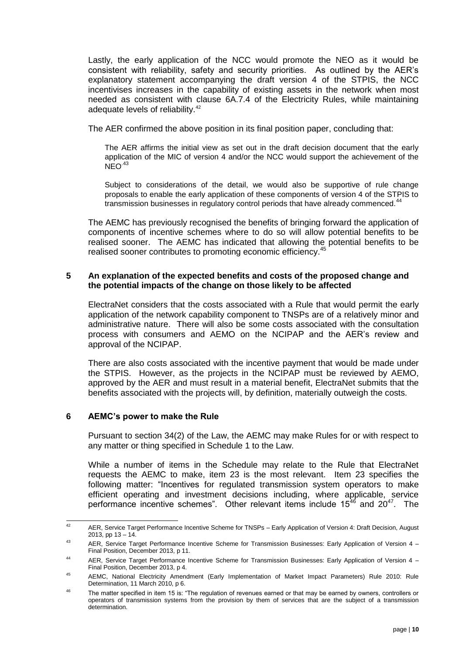Lastly, the early application of the NCC would promote the NEO as it would be consistent with reliability, safety and security priorities. As outlined by the AER's explanatory statement accompanying the draft version 4 of the STPIS, the NCC incentivises increases in the capability of existing assets in the network when most needed as consistent with clause 6A.7.4 of the Electricity Rules, while maintaining adequate levels of reliability.<sup>42</sup>

The AER confirmed the above position in its final position paper, concluding that:

The AER affirms the initial view as set out in the draft decision document that the early application of the MIC of version 4 and/or the NCC would support the achievement of the  $NEO<sup>43</sup>$ 

Subject to considerations of the detail, we would also be supportive of rule change proposals to enable the early application of these components of version 4 of the STPIS to transmission businesses in regulatory control periods that have already commenced.<sup>44</sup>

The AEMC has previously recognised the benefits of bringing forward the application of components of incentive schemes where to do so will allow potential benefits to be realised sooner. The AEMC has indicated that allowing the potential benefits to be realised sooner contributes to promoting economic efficiency.<sup>45</sup>

## **5 An explanation of the expected benefits and costs of the proposed change and the potential impacts of the change on those likely to be affected**

ElectraNet considers that the costs associated with a Rule that would permit the early application of the network capability component to TNSPs are of a relatively minor and administrative nature. There will also be some costs associated with the consultation process with consumers and AEMO on the NCIPAP and the AER's review and approval of the NCIPAP.

There are also costs associated with the incentive payment that would be made under the STPIS. However, as the projects in the NCIPAP must be reviewed by AEMO, approved by the AER and must result in a material benefit, ElectraNet submits that the benefits associated with the projects will, by definition, materially outweigh the costs.

## **6 AEMC's power to make the Rule**

Pursuant to section 34(2) of the Law, the AEMC may make Rules for or with respect to any matter or thing specified in Schedule 1 to the Law.

While a number of items in the Schedule may relate to the Rule that ElectraNet requests the AEMC to make, item 23 is the most relevant. Item 23 specifies the following matter: "Incentives for regulated transmission system operators to make efficient operating and investment decisions including, where applicable, service performance incentive schemes". Other relevant items include  $15^{46}$  and  $20^{47}$ . The

 $42$ <sup>42</sup> AER, Service Target Performance Incentive Scheme for TNSPs – Early Application of Version 4: Draft Decision, August 2013, pp  $13 - 14$ .

<sup>43</sup> AER, Service Target Performance Incentive Scheme for Transmission Businesses: Early Application of Version 4 – Final Position, December 2013, p 11.

<sup>44</sup> AER, Service Target Performance Incentive Scheme for Transmission Businesses: Early Application of Version 4 – Final Position, December 2013, p 4.

<sup>45</sup> AEMC, National Electricity Amendment (Early Implementation of Market Impact Parameters) Rule 2010: Rule Determination, 11 March 2010, p 6.

<sup>&</sup>lt;sup>46</sup> The matter specified in item 15 is: "The regulation of revenues earned or that may be earned by owners, controllers or operators of transmission systems from the provision by them of services that are the subject of a transmission determination.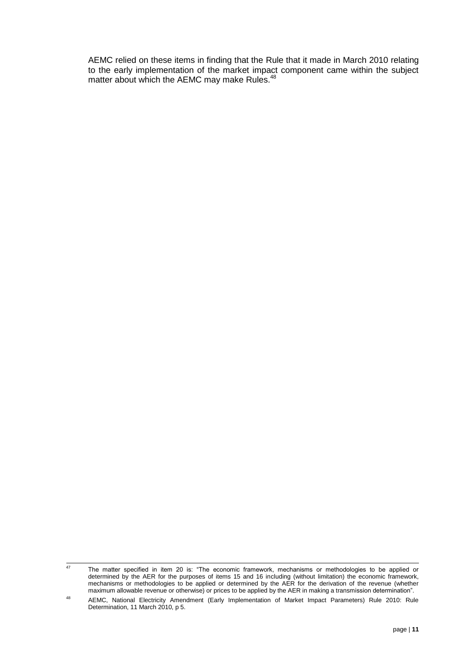AEMC relied on these items in finding that the Rule that it made in March 2010 relating to the early implementation of the market impact component came within the subject matter about which the AEMC may make Rules.<sup>48</sup>

 $\overline{47}$ The matter specified in item 20 is: "The economic framework, mechanisms or methodologies to be applied or determined by the AER for the purposes of items 15 and 16 including (without limitation) the economic framework, mechanisms or methodologies to be applied or determined by the AER for the derivation of the revenue (whether maximum allowable revenue or otherwise) or prices to be applied by the AER in making a transmission determination".

<sup>48</sup> AEMC, National Electricity Amendment (Early Implementation of Market Impact Parameters) Rule 2010: Rule Determination, 11 March 2010, p 5.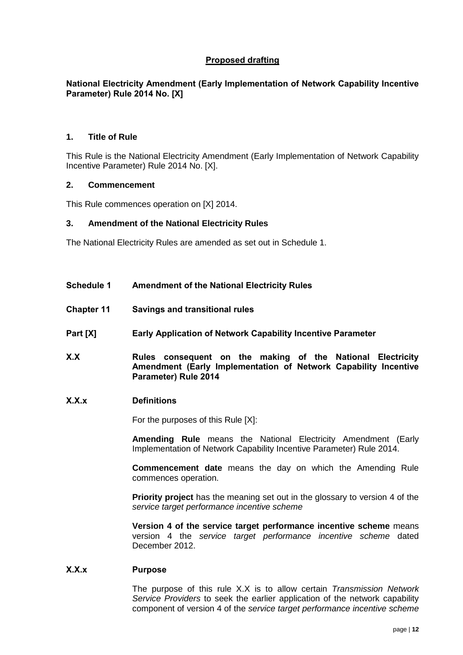# **Proposed drafting**

# **National Electricity Amendment (Early Implementation of Network Capability Incentive Parameter) Rule 2014 No. [X]**

### **1. Title of Rule**

This Rule is the National Electricity Amendment (Early Implementation of Network Capability Incentive Parameter) Rule 2014 No. [X].

#### **2. Commencement**

This Rule commences operation on [X] 2014.

### **3. Amendment of the National Electricity Rules**

The National Electricity Rules are amended as set out in Schedule 1.

- **Schedule 1 Amendment of the National Electricity Rules**
- **Chapter 11 Savings and transitional rules**
- **Part [X] Early Application of Network Capability Incentive Parameter**
- **X.X Rules consequent on the making of the National Electricity Amendment (Early Implementation of Network Capability Incentive Parameter) Rule 2014**

#### **X.X.x Definitions**

For the purposes of this Rule [X]:

**Amending Rule** means the National Electricity Amendment (Early Implementation of Network Capability Incentive Parameter) Rule 2014.

**Commencement date** means the day on which the Amending Rule commences operation.

**Priority project** has the meaning set out in the glossary to version 4 of the *service target performance incentive scheme*

**Version 4 of the service target performance incentive scheme** means version 4 the *service target performance incentive scheme* dated December 2012.

#### **X.X.x Purpose**

The purpose of this rule X.X is to allow certain *Transmission Network Service Providers* to seek the earlier application of the network capability component of version 4 of the *service target performance incentive scheme*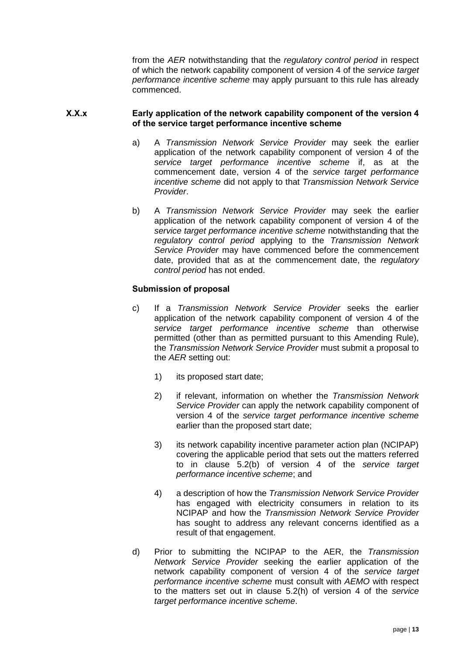from the *AER* notwithstanding that the *regulatory control period* in respect of which the network capability component of version 4 of the *service target performance incentive scheme* may apply pursuant to this rule has already commenced.

## **X.X.x Early application of the network capability component of the version 4 of the service target performance incentive scheme**

- a) A *Transmission Network Service Provider* may seek the earlier application of the network capability component of version 4 of the *service target performance incentive scheme* if, as at the commencement date, version 4 of the *service target performance incentive scheme* did not apply to that *Transmission Network Service Provider*.
- b) A *Transmission Network Service Provider* may seek the earlier application of the network capability component of version 4 of the *service target performance incentive scheme* notwithstanding that the *regulatory control period* applying to the *Transmission Network Service Provider* may have commenced before the commencement date, provided that as at the commencement date, the *regulatory control period* has not ended.

# **Submission of proposal**

- c) If a *Transmission Network Service Provider* seeks the earlier application of the network capability component of version 4 of the *service target performance incentive scheme* than otherwise permitted (other than as permitted pursuant to this Amending Rule), the *Transmission Network Service Provider* must submit a proposal to the *AER* setting out:
	- 1) its proposed start date;
	- 2) if relevant, information on whether the *Transmission Network Service Provider* can apply the network capability component of version 4 of the *service target performance incentive scheme* earlier than the proposed start date;
	- 3) its network capability incentive parameter action plan (NCIPAP) covering the applicable period that sets out the matters referred to in clause 5.2(b) of version 4 of the *service target performance incentive scheme*; and
	- 4) a description of how the *Transmission Network Service Provider* has engaged with electricity consumers in relation to its NCIPAP and how the *Transmission Network Service Provider*  has sought to address any relevant concerns identified as a result of that engagement.
- d) Prior to submitting the NCIPAP to the AER, the *Transmission Network Service Provider* seeking the earlier application of the network capability component of version 4 of the *service target performance incentive scheme* must consult with *AEMO* with respect to the matters set out in clause 5.2(h) of version 4 of the *service target performance incentive scheme*.